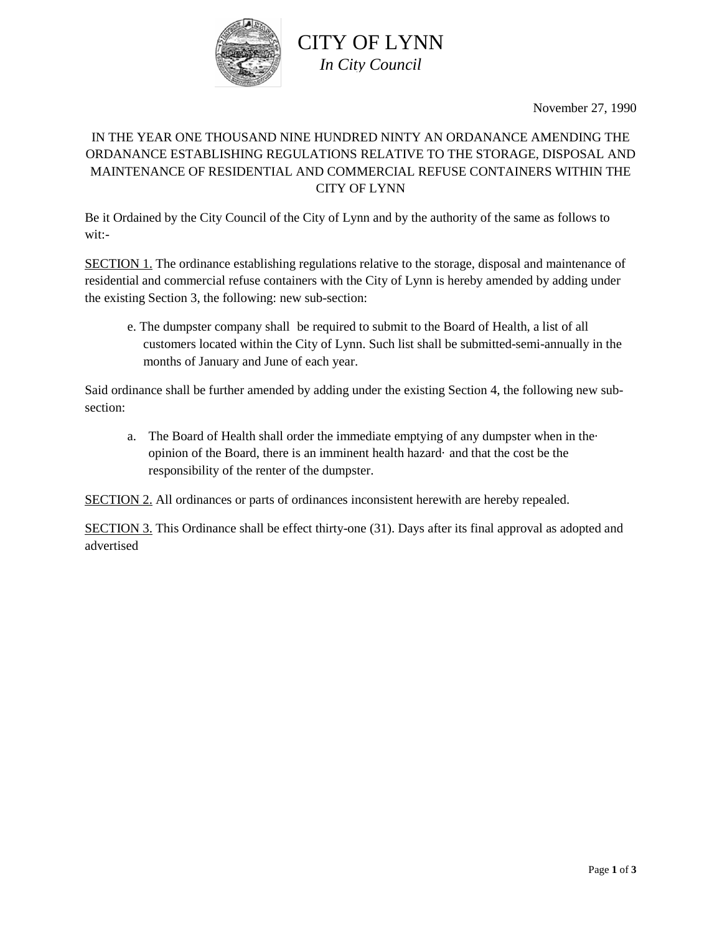

November 27, 1990

# IN THE YEAR ONE THOUSAND NINE HUNDRED NINTY AN ORDANANCE AMENDING THE ORDANANCE ESTABLISHING REGULATIONS RELATIVE TO THE STORAGE, DISPOSAL AND MAINTENANCE OF RESIDENTIAL AND COMMERCIAL REFUSE CONTAINERS WITHIN THE CITY OF LYNN

Be it Ordained by the City Council of the City of Lynn and by the authority of the same as follows to wit:-

SECTION 1. The ordinance establishing regulations relative to the storage, disposal and maintenance of residential and commercial refuse containers with the City of Lynn is hereby amended by adding under the existing Section 3, the following: new sub-section:

e. The dumpster company shall be required to submit to the Board of Health, a list of all customers located within the City of Lynn. Such list shall be submitted-semi-annually in the months of January and June of each year.

Said ordinance shall be further amended by adding under the existing Section 4, the following new subsection:

a. The Board of Health shall order the immediate emptying of any dumpster when in the· opinion of the Board, there is an imminent health hazard· and that the cost be the responsibility of the renter of the dumpster.

SECTION 2. All ordinances or parts of ordinances inconsistent herewith are hereby repealed.

SECTION 3. This Ordinance shall be effect thirty-one (31). Days after its final approval as adopted and advertised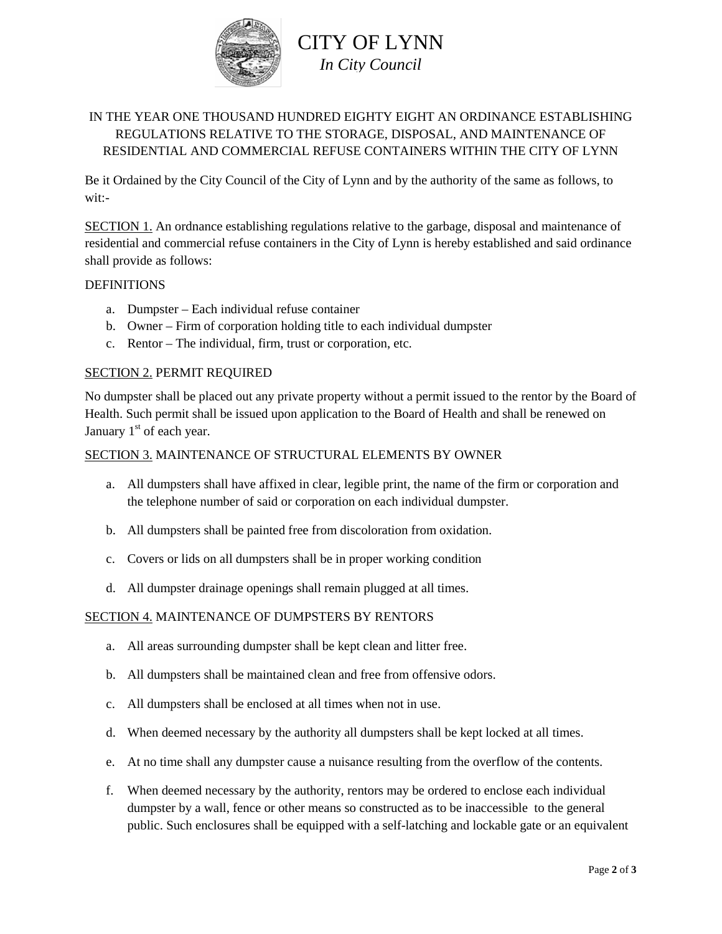

## IN THE YEAR ONE THOUSAND HUNDRED EIGHTY EIGHT AN ORDINANCE ESTABLISHING REGULATIONS RELATIVE TO THE STORAGE, DISPOSAL, AND MAINTENANCE OF RESIDENTIAL AND COMMERCIAL REFUSE CONTAINERS WITHIN THE CITY OF LYNN

Be it Ordained by the City Council of the City of Lynn and by the authority of the same as follows, to wit:-

SECTION 1. An ordnance establishing regulations relative to the garbage, disposal and maintenance of residential and commercial refuse containers in the City of Lynn is hereby established and said ordinance shall provide as follows:

## DEFINITIONS

- a. Dumpster Each individual refuse container
- b. Owner Firm of corporation holding title to each individual dumpster
- c. Rentor The individual, firm, trust or corporation, etc.

## SECTION 2. PERMIT REQUIRED

No dumpster shall be placed out any private property without a permit issued to the rentor by the Board of Health. Such permit shall be issued upon application to the Board of Health and shall be renewed on January  $1<sup>st</sup>$  of each year.

## SECTION 3. MAINTENANCE OF STRUCTURAL ELEMENTS BY OWNER

- a. All dumpsters shall have affixed in clear, legible print, the name of the firm or corporation and the telephone number of said or corporation on each individual dumpster.
- b. All dumpsters shall be painted free from discoloration from oxidation.
- c. Covers or lids on all dumpsters shall be in proper working condition
- d. All dumpster drainage openings shall remain plugged at all times.

## SECTION 4. MAINTENANCE OF DUMPSTERS BY RENTORS

- a. All areas surrounding dumpster shall be kept clean and litter free.
- b. All dumpsters shall be maintained clean and free from offensive odors.
- c. All dumpsters shall be enclosed at all times when not in use.
- d. When deemed necessary by the authority all dumpsters shall be kept locked at all times.
- e. At no time shall any dumpster cause a nuisance resulting from the overflow of the contents.
- f. When deemed necessary by the authority, rentors may be ordered to enclose each individual dumpster by a wall, fence or other means so constructed as to be inaccessible to the general public. Such enclosures shall be equipped with a self-latching and lockable gate or an equivalent